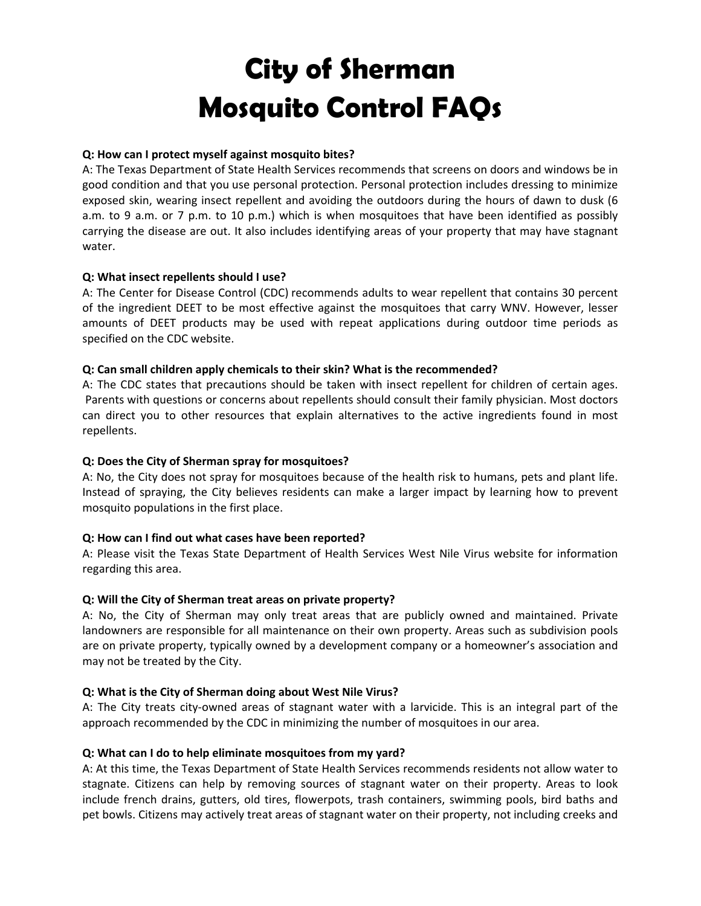# **City of Sherman Mosquito Control FAQs**

## **Q: How can I protect myself against mosquito bites?**

A: The Texas Department of State Health Services recommends that screens on doors and windows be in good condition and that you use personal protection. Personal protection includes dressing to minimize exposed skin, wearing insect repellent and avoiding the outdoors during the hours of dawn to dusk (6 a.m. to 9 a.m. or 7 p.m. to 10 p.m.) which is when mosquitoes that have been identified as possibly carrying the disease are out. It also includes identifying areas of your property that may have stagnant water.

## **Q: What insect repellents should I use?**

A: The Center for Disease Control (CDC) recommends adults to wear repellent that contains 30 percent of the ingredient DEET to be most effective against the mosquitoes that carry WNV. However, lesser amounts of DEET products may be used with repeat applications during outdoor time periods as specified on the CDC website.

### **Q: Can small children apply chemicals to their skin? What is the recommended?**

A: The CDC states that precautions should be taken with insect repellent for children of certain ages. Parents with questions or concerns about repellents should consult their family physician. Most doctors can direct you to other resources that explain alternatives to the active ingredients found in most repellents.

### **Q: Does the City of Sherman spray for mosquitoes?**

A: No, the City does not spray for mosquitoes because of the health risk to humans, pets and plant life. Instead of spraying, the City believes residents can make a larger impact by learning how to prevent mosquito populations in the first place.

### **Q: How can I find out what cases have been reported?**

A: Please visit the Texas State Department of Health Services West Nile Virus website for information regarding this area.

### **Q: Will the City of Sherman treat areas on private property?**

A: No, the City of Sherman may only treat areas that are publicly owned and maintained. Private landowners are responsible for all maintenance on their own property. Areas such as subdivision pools are on private property, typically owned by a development company or a homeowner's association and may not be treated by the City.

### **Q: What is the City of Sherman doing about West Nile Virus?**

A: The City treats city‐owned areas of stagnant water with a larvicide. This is an integral part of the approach recommended by the CDC in minimizing the number of mosquitoes in our area.

### **Q: What can I do to help eliminate mosquitoes from my yard?**

A: At this time, the Texas Department of State Health Services recommends residents not allow water to stagnate. Citizens can help by removing sources of stagnant water on their property. Areas to look include french drains, gutters, old tires, flowerpots, trash containers, swimming pools, bird baths and pet bowls. Citizens may actively treat areas of stagnant water on their property, not including creeks and